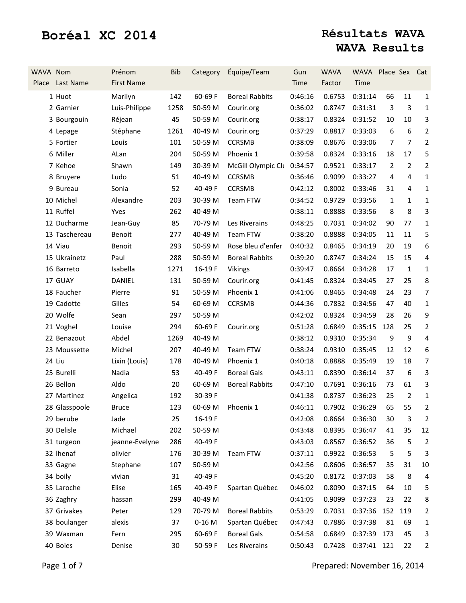| WAVA Nom | Place Last Name | Prénom<br><b>First Name</b> | <b>Bib</b> | Category | Équipe/Team           | Gun<br>Time | <b>WAVA</b><br>Factor        | WAVA Place Sex Cat<br>Time |                |                  |                |
|----------|-----------------|-----------------------------|------------|----------|-----------------------|-------------|------------------------------|----------------------------|----------------|------------------|----------------|
|          | 1 Huot          | Marilyn                     | 142        | 60-69 F  | <b>Boreal Rabbits</b> | 0:46:16     | 0.6753                       | 0:31:14                    | 66             | 11               | $\mathbf{1}$   |
|          | 2 Garnier       | Luis-Philippe               | 1258       | 50-59 M  | Courir.org            | 0:36:02     | 0.8747                       | 0:31:31                    | 3              | 3                | $\mathbf{1}$   |
|          | 3 Bourgouin     | Réjean                      | 45         | 50-59 M  | Courir.org            | 0:38:17     | 0.8324                       | 0:31:52                    | 10             | 10               | 3              |
|          | 4 Lepage        | Stéphane                    | 1261       | 40-49 M  | Courir.org            | 0:37:29     | 0.8817                       | 0:33:03                    | 6              | $\boldsymbol{6}$ | $\overline{2}$ |
|          | 5 Fortier       | Louis                       | 101        | 50-59 M  | <b>CCRSMB</b>         | 0:38:09     | 0.8676                       | 0:33:06                    | 7              | $\overline{7}$   | $\overline{2}$ |
|          | 6 Miller        | ALan                        | 204        | 50-59 M  | Phoenix 1             | 0:39:58     | 0.8324                       | 0:33:16                    | 18             | 17               | 5              |
|          | 7 Kehoe         | Shawn                       | 149        | 30-39 M  | McGill Olympic Clu    | 0:34:57     | 0.9521                       | 0:33:17                    | $\overline{2}$ | $\overline{2}$   | $\overline{2}$ |
|          | 8 Bruyere       | Ludo                        | 51         | 40-49 M  | <b>CCRSMB</b>         | 0:36:46     | 0.9099                       | 0:33:27                    | 4              | $\overline{4}$   | $\mathbf{1}$   |
|          | 9 Bureau        | Sonia                       | 52         | 40-49 F  | <b>CCRSMB</b>         | 0:42:12     | 0.8002                       | 0:33:46                    | 31             | 4                | $\mathbf{1}$   |
|          | 10 Michel       | Alexandre                   | 203        | 30-39 M  | Team FTW              | 0:34:52     | 0.9729                       | 0:33:56                    | $\mathbf{1}$   | 1                | 1              |
|          | 11 Ruffel       | Yves                        | 262        | 40-49 M  |                       | 0:38:11     | 0.8888                       | 0:33:56                    | 8              | 8                | 3              |
|          | 12 Ducharme     | Jean-Guy                    | 85         | 70-79 M  | Les Riverains         | 0:48:25     | 0.7031                       | 0:34:02                    | 90             | 77               | 1              |
|          | 13 Taschereau   | Benoit                      | 277        | 40-49 M  | Team FTW              | 0:38:20     | 0.8888                       | 0:34:05                    | 11             | 11               | 5              |
|          | 14 Viau         | Benoit                      | 293        | 50-59 M  | Rose bleu d'enfer     | 0:40:32     | 0.8465                       | 0:34:19                    | 20             | 19               | 6              |
|          | 15 Ukrainetz    | Paul                        | 288        | 50-59 M  | <b>Boreal Rabbits</b> | 0:39:20     | 0.8747                       | 0:34:24                    | 15             | 15               | 4              |
|          | 16 Barreto      | Isabella                    | 1271       | 16-19F   | <b>Vikings</b>        | 0:39:47     | 0.8664                       | 0:34:28                    | 17             | $\mathbf{1}$     | 1              |
|          | 17 GUAY         | <b>DANIEL</b>               | 131        | 50-59 M  | Courir.org            | 0:41:45     | 0.8324                       | 0:34:45                    | 27             | 25               | 8              |
|          | 18 Faucher      | Pierre                      | 91         | 50-59 M  | Phoenix 1             | 0:41:06     | 0.8465                       | 0:34:48                    | 24             | 23               | $\overline{7}$ |
|          | 19 Cadotte      | Gilles                      | 54         | 60-69 M  | <b>CCRSMB</b>         | 0:44:36     | 0.7832                       | 0:34:56                    | 47             | 40               | $\mathbf{1}$   |
|          | 20 Wolfe        | Sean                        | 297        | 50-59 M  |                       | 0:42:02     | 0.8324                       | 0:34:59                    | 28             | 26               | 9              |
|          | 21 Voghel       | Louise                      | 294        | 60-69 F  | Courir.org            | 0:51:28     | 0.6849                       | 0:35:15                    | 128            | 25               | $\overline{2}$ |
|          | 22 Benazout     | Abdel                       | 1269       | 40-49 M  |                       | 0:38:12     | 0.9310                       | 0:35:34                    | 9              | $9\,$            | 4              |
|          | 23 Moussette    | Michel                      | 207        | 40-49 M  | <b>Team FTW</b>       | 0:38:24     | 0.9310                       | 0:35:45                    | 12             | 12               | 6              |
|          | 24 Liu          | Lixin (Louis)               | 178        | 40-49 M  | Phoenix 1             | 0:40:18     | 0.8888                       | 0:35:49                    | 19             | 18               | 7              |
|          | 25 Burelli      | Nadia                       | 53         | 40-49 F  | <b>Boreal Gals</b>    | 0:43:11     | 0.8390                       | 0:36:14                    | 37             | 6                | 3              |
|          | 26 Bellon       | Aldo                        | 20         | 60-69 M  | <b>Boreal Rabbits</b> | 0:47:10     | 0.7691                       | 0:36:16                    | 73             | 61               | 3              |
|          | 27 Martinez     | Angelica                    | 192        | 30-39 F  |                       | 0:41:38     | 0.8737                       | 0:36:23                    | 25             | $\overline{2}$   | $\mathbf{1}$   |
|          | 28 Glasspoole   | Bruce                       | 123        |          | 60-69 M Phoenix 1     |             | 0:46:11  0.7902  0:36:29  65 |                            |                | 55               | $\overline{2}$ |
|          | 29 berube       | Jade                        | 25         | 16-19 F  |                       | 0:42:08     | 0.8664                       | 0:36:30                    | 30             | 3                | 2              |
|          | 30 Delisle      | Michael                     | 202        | 50-59 M  |                       | 0:43:48     | 0.8395                       | 0:36:47                    | 41             | 35               | 12             |
|          | 31 turgeon      | jeanne-Evelyne              | 286        | 40-49 F  |                       | 0:43:03     | 0.8567                       | 0:36:52                    | 36             | 5                | $\overline{2}$ |
|          | 32 Ihenaf       | olivier                     | 176        | 30-39 M  | Team FTW              | 0:37:11     | 0.9922                       | 0:36:53                    | 5              | 5                | 3              |
|          | 33 Gagne        | Stephane                    | 107        | 50-59 M  |                       | 0:42:56     | 0.8606                       | 0:36:57                    | 35             | 31               | 10             |
|          | 34 boily        | vivian                      | 31         | 40-49 F  |                       | 0:45:20     | 0.8172                       | 0:37:03                    | 58             | 8                | 4              |
|          | 35 Laroche      | Elise                       | 165        | 40-49 F  | Spartan Québec        | 0:46:02     | 0.8090                       | 0:37:15                    | 64             | 10               | 5              |
|          | 36 Zaghry       | hassan                      | 299        | 40-49 M  |                       | 0:41:05     | 0.9099                       | 0:37:23                    | 23             | 22               | 8              |
|          | 37 Grivakes     | Peter                       | 129        | 70-79 M  | <b>Boreal Rabbits</b> | 0:53:29     | 0.7031                       | 0:37:36                    | 152            | 119              | 2              |
|          | 38 boulanger    | alexis                      | 37         | $0-16$ M | Spartan Québec        | 0:47:43     | 0.7886                       | 0:37:38                    | 81             | 69               | 1              |
|          | 39 Waxman       | Fern                        | 295        | 60-69 F  | <b>Boreal Gals</b>    | 0:54:58     | 0.6849                       | 0:37:39                    | 173            | 45               | 3              |
|          | 40 Boies        | Denise                      | 30         | 50-59 F  | Les Riverains         | 0:50:43     | 0.7428                       | 0:37:41 121                |                | 22               | $\overline{2}$ |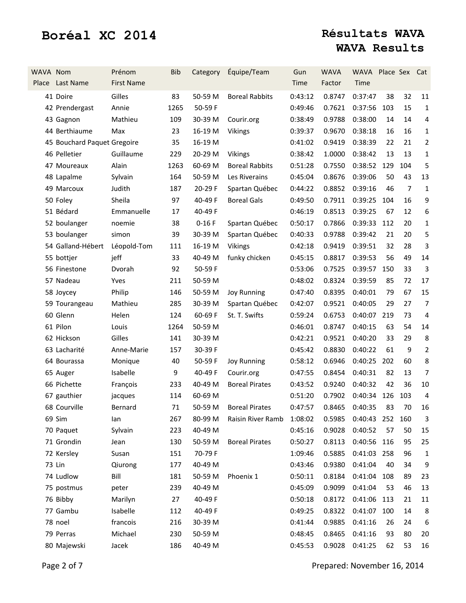| WAVA Nom | Place Last Name             | Prénom<br><b>First Name</b> | <b>Bib</b> | Category | Équipe/Team            | Gun<br>Time | <b>WAVA</b><br>Factor        | WAVA Place Sex Cat<br>Time |     |                |                         |
|----------|-----------------------------|-----------------------------|------------|----------|------------------------|-------------|------------------------------|----------------------------|-----|----------------|-------------------------|
|          | 41 Doire                    | Gilles                      | 83         | 50-59 M  | <b>Boreal Rabbits</b>  | 0:43:12     | 0.8747                       | 0:37:47                    | 38  | 32             | 11                      |
|          | 42 Prendergast              | Annie                       | 1265       | 50-59 F  |                        | 0:49:46     | 0.7621                       | 0:37:56                    | 103 | 15             | $\mathbf{1}$            |
|          | 43 Gagnon                   | Mathieu                     | 109        | 30-39 M  | Courir.org             | 0:38:49     | 0.9788                       | 0:38:00                    | 14  | 14             | $\overline{\mathbf{4}}$ |
|          | 44 Berthiaume               | Max                         | 23         | 16-19 M  | <b>Vikings</b>         | 0:39:37     | 0.9670                       | 0:38:18                    | 16  | 16             | $\mathbf{1}$            |
|          | 45 Bouchard Paquet Gregoire |                             | 35         | 16-19 M  |                        | 0:41:02     | 0.9419                       | 0:38:39                    | 22  | 21             | $\overline{2}$          |
|          | 46 Pelletier                | Guillaume                   | 229        | 20-29 M  | <b>Vikings</b>         | 0:38:42     | 1.0000                       | 0:38:42                    | 13  | 13             | $\mathbf{1}$            |
|          | 47 Moureaux                 | Alain                       | 1263       | 60-69 M  | <b>Boreal Rabbits</b>  | 0:51:28     | 0.7550                       | 0:38:52                    | 129 | 104            | 5                       |
|          | 48 Lapalme                  | Sylvain                     | 164        | 50-59 M  | Les Riverains          | 0:45:04     | 0.8676                       | 0:39:06                    | 50  | 43             | 13                      |
|          | 49 Marcoux                  | Judith                      | 187        | 20-29 F  | Spartan Québec         | 0:44:22     | 0.8852                       | 0:39:16                    | 46  | $\overline{7}$ | $\mathbf{1}$            |
|          | 50 Foley                    | Sheila                      | 97         | 40-49 F  | <b>Boreal Gals</b>     | 0:49:50     | 0.7911                       | 0:39:25                    | 104 | 16             | 9                       |
|          | 51 Bédard                   | Emmanuelle                  | 17         | 40-49 F  |                        | 0:46:19     | 0.8513                       | 0:39:25                    | 67  | 12             | 6                       |
|          | 52 boulanger                | noemie                      | 38         | $0-16F$  | Spartan Québec         | 0:50:17     | 0.7866                       | 0:39:33                    | 112 | 20             | 1                       |
|          | 53 boulanger                | simon                       | 39         | 30-39 M  | Spartan Québec         | 0:40:33     | 0.9788                       | 0:39:42                    | 21  | 20             | 5                       |
|          | 54 Galland-Hébert           | Léopold-Tom                 | 111        | 16-19 M  | Vikings                | 0:42:18     | 0.9419                       | 0:39:51                    | 32  | 28             | 3                       |
|          | 55 bottjer                  | jeff                        | 33         | 40-49 M  | funky chicken          | 0:45:15     | 0.8817                       | 0:39:53                    | 56  | 49             | 14                      |
|          | 56 Finestone                | Dvorah                      | 92         | 50-59 F  |                        | 0:53:06     | 0.7525                       | 0:39:57                    | 150 | 33             | 3                       |
|          | 57 Nadeau                   | Yves                        | 211        | 50-59 M  |                        | 0:48:02     | 0.8324                       | 0:39:59                    | 85  | 72             | 17                      |
|          | 58 Joycey                   | Philip                      | 146        | 50-59 M  | <b>Joy Running</b>     | 0:47:40     | 0.8395                       | 0:40:01                    | 79  | 67             | 15                      |
|          | 59 Tourangeau               | Mathieu                     | 285        | 30-39 M  | Spartan Québec         | 0:42:07     | 0.9521                       | 0:40:05                    | 29  | 27             | $\overline{7}$          |
|          | 60 Glenn                    | Helen                       | 124        | 60-69 F  | St. T. Swifts          | 0:59:24     | 0.6753                       | 0:40:07                    | 219 | 73             | 4                       |
|          | 61 Pilon                    | Louis                       | 1264       | 50-59 M  |                        | 0:46:01     | 0.8747                       | 0:40:15                    | 63  | 54             | 14                      |
|          | 62 Hickson                  | Gilles                      | 141        | 30-39 M  |                        | 0:42:21     | 0.9521                       | 0:40:20                    | 33  | 29             | 8                       |
|          | 63 Lacharité                | Anne-Marie                  | 157        | 30-39 F  |                        | 0:45:42     | 0.8830                       | 0:40:22                    | 61  | 9              | $\overline{2}$          |
|          | 64 Bourassa                 | Monique                     | 40         | 50-59 F  | <b>Joy Running</b>     | 0:58:12     | 0.6946                       | 0:40:25                    | 202 | 60             | 8                       |
|          | 65 Auger                    | Isabelle                    | 9          | 40-49 F  | Courir.org             | 0:47:55     | 0.8454                       | 0:40:31                    | 82  | 13             | $\overline{7}$          |
|          | 66 Pichette                 | François                    | 233        | 40-49 M  | <b>Boreal Pirates</b>  | 0:43:52     | 0.9240                       | 0:40:32                    | 42  | 36             | 10                      |
|          | 67 gauthier                 | jacques                     | 114        | 60-69 M  |                        | 0:51:20     | 0.7902                       | 0:40:34 126                |     | 103            | 4                       |
|          | 68 Courville                | Bernard                     | 71         |          | 50-59 M Boreal Pirates |             | 0:47:57  0.8465  0:40:35  83 |                            |     | 70             | 16                      |
|          | 69 Sim                      | lan                         | 267        | 80-99 M  | Raisin River Ramb      | 1:08:02     | 0.5985                       | 0:40:43 252 160            |     |                | 3                       |
|          | 70 Paquet                   | Sylvain                     | 223        | 40-49 M  |                        | 0:45:16     | 0.9028                       | 0:40:52                    | 57  | 50             | 15                      |
|          | 71 Grondin                  | Jean                        | 130        | 50-59 M  | <b>Boreal Pirates</b>  | 0:50:27     | 0.8113                       | 0:40:56 116                |     | 95             | 25                      |
|          | 72 Kersley                  | Susan                       | 151        | 70-79F   |                        | 1:09:46     | 0.5885                       | 0:41:03 258                |     | 96             | 1                       |
|          | 73 Lin                      | Qiurong                     | 177        | 40-49 M  |                        | 0:43:46     | 0.9380                       | 0:41:04                    | 40  | 34             | 9                       |
|          | 74 Ludlow                   | Bill                        | 181        | 50-59 M  | Phoenix 1              | 0:50:11     | 0.8184                       | 0:41:04 108                |     | 89             | 23                      |
|          | 75 postmus                  | peter                       | 239        | 40-49 M  |                        | 0:45:09     | 0.9099                       | 0:41:04                    | 53  | 46             | 13                      |
|          | 76 Bibby                    | Marilyn                     | 27         | 40-49 F  |                        | 0:50:18     | 0.8172                       | 0:41:06                    | 113 | 21             | 11                      |
|          | 77 Gambu                    | Isabelle                    | 112        | 40-49 F  |                        | 0:49:25     | 0.8322                       | 0:41:07                    | 100 | 14             | 8                       |
|          | 78 noel                     | francois                    | 216        | 30-39 M  |                        | 0:41:44     | 0.9885                       | 0:41:16                    | 26  | 24             | 6                       |
|          | 79 Perras                   | Michael                     | 230        | 50-59 M  |                        | 0:48:45     | 0.8465                       | 0:41:16                    | 93  | 80             | 20                      |
|          | 80 Majewski                 | Jacek                       | 186        | 40-49 M  |                        | 0:45:53     | 0.9028                       | 0:41:25                    | 62  | 53             | 16                      |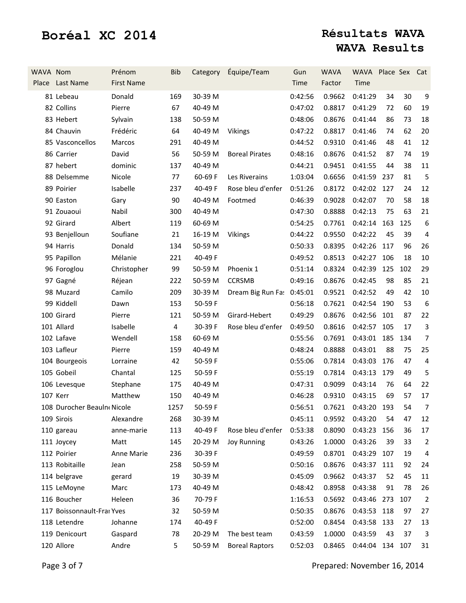| WAVA Nom | Place Last Name            | Prénom<br><b>First Name</b> | <b>Bib</b>     | Category | Équipe/Team               | Gun<br>Time | <b>WAVA</b><br>Factor         | WAVA Place Sex Cat<br>Time |     |     |                  |
|----------|----------------------------|-----------------------------|----------------|----------|---------------------------|-------------|-------------------------------|----------------------------|-----|-----|------------------|
|          | 81 Lebeau                  | Donald                      | 169            | 30-39 M  |                           | 0:42:56     | 0.9662                        | 0:41:29                    | 34  | 30  | $9\,$            |
|          | 82 Collins                 | Pierre                      | 67             | 40-49 M  |                           | 0:47:02     | 0.8817                        | 0:41:29                    | 72  | 60  | 19               |
|          | 83 Hebert                  | Sylvain                     | 138            | 50-59 M  |                           | 0:48:06     | 0.8676                        | 0:41:44                    | 86  | 73  | 18               |
|          | 84 Chauvin                 | Frédéric                    | 64             | 40-49 M  | <b>Vikings</b>            | 0:47:22     | 0.8817                        | 0:41:46                    | 74  | 62  | 20               |
|          | 85 Vasconcellos            | Marcos                      | 291            | 40-49 M  |                           | 0:44:52     | 0.9310                        | 0:41:46                    | 48  | 41  | 12               |
|          | 86 Carrier                 | David                       | 56             | 50-59 M  | <b>Boreal Pirates</b>     | 0:48:16     | 0.8676                        | 0:41:52                    | 87  | 74  | 19               |
|          | 87 hebert                  | dominic                     | 137            | 40-49 M  |                           | 0:44:21     | 0.9451                        | 0:41:55                    | 44  | 38  | $11\,$           |
|          | 88 Delsemme                | Nicole                      | 77             | 60-69 F  | Les Riverains             | 1:03:04     | 0.6656                        | 0:41:59 237                |     | 81  | 5                |
|          | 89 Poirier                 | Isabelle                    | 237            | 40-49 F  | Rose bleu d'enfer         | 0:51:26     | 0.8172                        | 0:42:02 127                |     | 24  | 12               |
|          | 90 Easton                  | Gary                        | 90             | 40-49 M  | Footmed                   | 0:46:39     | 0.9028                        | 0:42:07                    | 70  | 58  | 18               |
|          | 91 Zouaoui                 | Nabil                       | 300            | 40-49 M  |                           | 0:47:30     | 0.8888                        | 0:42:13                    | 75  | 63  | 21               |
|          | 92 Girard                  | Albert                      | 119            | 60-69 M  |                           | 0:54:25     | 0.7761                        | 0:42:14 163                |     | 125 | 6                |
|          | 93 Benjelloun              | Soufiane                    | 21             | 16-19 M  | <b>Vikings</b>            | 0:44:22     | 0.9550                        | 0:42:22                    | 45  | 39  | $\sqrt{4}$       |
|          | 94 Harris                  | Donald                      | 134            | 50-59 M  |                           | 0:50:33     | 0.8395                        | 0:42:26                    | 117 | 96  | 26               |
|          | 95 Papillon                | Mélanie                     | 221            | 40-49 F  |                           | 0:49:52     | 0.8513                        | 0:42:27                    | 106 | 18  | 10               |
|          | 96 Foroglou                | Christopher                 | 99             | 50-59 M  | Phoenix 1                 | 0:51:14     | 0.8324                        | 0:42:39                    | 125 | 102 | 29               |
|          | 97 Gagné                   | Réjean                      | 222            | 50-59 M  | <b>CCRSMB</b>             | 0:49:16     | 0.8676                        | 0:42:45                    | 98  | 85  | 21               |
|          | 98 Muzard                  | Camilo                      | 209            | 30-39 M  | Dream Big Run Fa: 0:45:01 |             | 0.9521                        | 0:42:52                    | 49  | 42  | $10\,$           |
|          | 99 Kiddell                 | Dawn                        | 153            | 50-59 F  |                           | 0:56:18     | 0.7621                        | 0:42:54                    | 190 | 53  | $\boldsymbol{6}$ |
|          | 100 Girard                 | Pierre                      | 121            | 50-59 M  | Girard-Hebert             | 0:49:29     | 0.8676                        | 0:42:56                    | 101 | 87  | 22               |
|          | 101 Allard                 | Isabelle                    | $\overline{4}$ | 30-39 F  | Rose bleu d'enfer         | 0:49:50     | 0.8616                        | 0:42:57                    | 105 | 17  | 3                |
|          | 102 Lafave                 | Wendell                     | 158            | 60-69 M  |                           | 0:55:56     | 0.7691                        | 0:43:01                    | 185 | 134 | $\overline{7}$   |
|          | 103 Lafleur                | Pierre                      | 159            | 40-49 M  |                           | 0:48:24     | 0.8888                        | 0:43:01                    | 88  | 75  | 25               |
|          | 104 Bourgeois              | Lorraine                    | 42             | 50-59 F  |                           | 0:55:06     | 0.7814                        | 0:43:03                    | 176 | 47  | $\overline{4}$   |
|          | 105 Gobeil                 | Chantal                     | 125            | 50-59 F  |                           | 0:55:19     | 0.7814                        | 0:43:13 179                |     | 49  | 5                |
|          | 106 Levesque               | Stephane                    | 175            | 40-49 M  |                           | 0:47:31     | 0.9099                        | 0:43:14                    | 76  | 64  | 22               |
|          | 107 Kerr                   | Matthew                     | 150            | 40-49 M  |                           | 0:46:28     | 0.9310                        | 0:43:15                    | 69  | 57  | 17               |
|          | 108 Durocher Beauln Nicole |                             | 1257           | 50-59 F  |                           |             | 0:56:51  0.7621  0:43:20  193 |                            |     | 54  | $\overline{7}$   |
|          | 109 Sirois                 | Alexandre                   | 268            | 30-39 M  |                           | 0:45:11     | 0.9592                        | 0:43:20                    | 54  | 47  | 12               |
|          | 110 gareau                 | anne-marie                  | 113            | 40-49 F  | Rose bleu d'enfer         | 0:53:38     | 0.8090                        | 0:43:23 156                |     | 36  | 17               |
|          | 111 Joycey                 | Matt                        | 145            | 20-29 M  | <b>Joy Running</b>        | 0:43:26     | 1.0000                        | 0:43:26                    | 39  | 33  | 2                |
|          | 112 Poirier                | Anne Marie                  | 236            | 30-39 F  |                           | 0:49:59     | 0.8701                        | 0:43:29                    | 107 | 19  | 4                |
|          | 113 Robitaille             | Jean                        | 258            | 50-59 M  |                           | 0:50:16     | 0.8676                        | 0:43:37 111                |     | 92  | 24               |
|          | 114 belgrave               | gerard                      | 19             | 30-39 M  |                           | 0:45:09     | 0.9662                        | 0:43:37                    | 52  | 45  | 11               |
|          | 115 LeMoyne                | Marc                        | 173            | 40-49 M  |                           | 0:48:42     | 0.8958                        | 0:43:38                    | 91  | 78  | 26               |
|          | 116 Boucher                | Heleen                      | 36             | 70-79 F  |                           | 1:16:53     | 0.5692                        | 0:43:46                    | 273 | 107 | $\overline{2}$   |
|          | 117 Boissonnault-Frai Yves |                             | 32             | 50-59 M  |                           | 0:50:35     | 0.8676                        | 0:43:53 118                |     | 97  | 27               |
|          | 118 Letendre               | Johanne                     | 174            | 40-49 F  |                           | 0:52:00     | 0.8454                        | 0:43:58 133                |     | 27  | 13               |
|          | 119 Denicourt              | Gaspard                     | 78             | 20-29 M  | The best team             | 0:43:59     | 1.0000                        | 0:43:59                    | 43  | 37  | 3                |
|          | 120 Allore                 | Andre                       | 5              | 50-59 M  | <b>Boreal Raptors</b>     | 0:52:03     | 0.8465                        | 0:44:04 134 107            |     |     | 31               |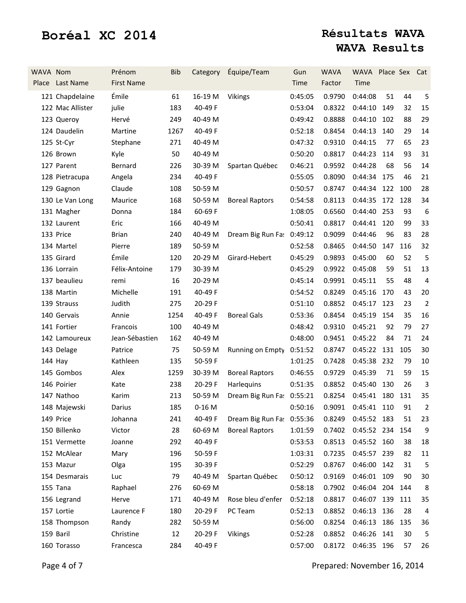| WAVA Nom | Place Last Name  | Prénom<br><b>First Name</b> | <b>Bib</b> | Category | Équipe/Team               | Gun<br>Time | <b>WAVA</b><br>Factor    | WAVA Place Sex<br>Time |     |     | Cat              |
|----------|------------------|-----------------------------|------------|----------|---------------------------|-------------|--------------------------|------------------------|-----|-----|------------------|
|          | 121 Chapdelaine  | Émile                       | 61         | 16-19 M  | <b>Vikings</b>            | 0:45:05     | 0.9790                   | 0:44:08                | 51  | 44  | 5                |
|          | 122 Mac Allister | julie                       | 183        | 40-49 F  |                           | 0:53:04     | 0.8322                   | 0:44:10                | 149 | 32  | 15               |
|          | 123 Queroy       | Hervé                       | 249        | 40-49 M  |                           | 0:49:42     | 0.8888                   | 0:44:10                | 102 | 88  | 29               |
|          | 124 Daudelin     | Martine                     | 1267       | 40-49 F  |                           | 0:52:18     | 0.8454                   | 0:44:13                | 140 | 29  | 14               |
|          | 125 St-Cyr       | Stephane                    | 271        | 40-49 M  |                           | 0:47:32     | 0.9310                   | 0:44:15                | 77  | 65  | 23               |
|          | 126 Brown        | Kyle                        | 50         | 40-49 M  |                           | 0:50:20     | 0.8817                   | 0:44:23                | 114 | 93  | 31               |
|          | 127 Parent       | Bernard                     | 226        | 30-39 M  | Spartan Québec            | 0:46:21     | 0.9592                   | 0:44:28                | 68  | 56  | 14               |
|          | 128 Pietracupa   | Angela                      | 234        | 40-49 F  |                           | 0:55:05     | 0.8090                   | 0:44:34 175            |     | 46  | 21               |
|          | 129 Gagnon       | Claude                      | 108        | 50-59 M  |                           | 0:50:57     | 0.8747                   | 0:44:34 122 100        |     |     | 28               |
|          | 130 Le Van Long  | Maurice                     | 168        | 50-59 M  | <b>Boreal Raptors</b>     | 0:54:58     | 0.8113                   | 0:44:35 172 128        |     |     | 34               |
|          | 131 Magher       | Donna                       | 184        | 60-69 F  |                           | 1:08:05     | 0.6560                   | 0:44:40 253            |     | 93  | $\boldsymbol{6}$ |
|          | 132 Laurent      | Eric                        | 166        | 40-49 M  |                           | 0:50:41     | 0.8817                   | 0:44:41                | 120 | 99  | 33               |
|          | 133 Price        | <b>Brian</b>                | 240        | 40-49 M  | Dream Big Run Fa: 0:49:12 |             | 0.9099                   | 0:44:46                | 96  | 83  | 28               |
|          | 134 Martel       | Pierre                      | 189        | 50-59 M  |                           | 0:52:58     | 0.8465                   | 0:44:50                | 147 | 116 | 32               |
|          | 135 Girard       | Émile                       | 120        | 20-29 M  | Girard-Hebert             | 0:45:29     | 0.9893                   | 0:45:00                | 60  | 52  | 5                |
|          | 136 Lorrain      | Félix-Antoine               | 179        | 30-39 M  |                           | 0:45:29     | 0.9922                   | 0:45:08                | 59  | 51  | 13               |
|          | 137 beaulieu     | remi                        | 16         | 20-29 M  |                           | 0:45:14     | 0.9991                   | 0:45:11                | 55  | 48  | 4                |
|          | 138 Martin       | Michelle                    | 191        | 40-49 F  |                           | 0:54:52     | 0.8249                   | 0:45:16                | 170 | 43  | 20               |
|          | 139 Strauss      | Judith                      | 275        | 20-29 F  |                           | 0:51:10     | 0.8852                   | 0:45:17                | 123 | 23  | $\overline{2}$   |
|          | 140 Gervais      | Annie                       | 1254       | 40-49 F  | <b>Boreal Gals</b>        | 0:53:36     | 0.8454                   | 0:45:19                | 154 | 35  | 16               |
|          | 141 Fortier      | Francois                    | 100        | 40-49 M  |                           | 0:48:42     | 0.9310                   | 0:45:21                | 92  | 79  | 27               |
|          | 142 Lamoureux    | Jean-Sébastien              | 162        | 40-49 M  |                           | 0:48:00     | 0.9451                   | 0:45:22                | 84  | 71  | 24               |
|          | 143 Delage       | Patrice                     | 75         | 50-59 M  | Running on Empty          | 0:51:52     | 0.8747                   | 0:45:22                | 131 | 105 | 30               |
|          | 144 Hay          | Kathleen                    | 135        | 50-59 F  |                           | 1:01:25     | 0.7428                   | 0:45:38                | 232 | 79  | 10               |
|          | 145 Gombos       | Alex                        | 1259       | 30-39 M  | <b>Boreal Raptors</b>     | 0:46:55     | 0.9729                   | 0:45:39                | 71  | 59  | 15               |
|          | 146 Poirier      | Kate                        | 238        | 20-29 F  | Harlequins                | 0:51:35     | 0.8852                   | 0:45:40                | 130 | 26  | 3                |
|          | 147 Nathoo       | Karim                       | 213        | 50-59 M  | Dream Big Run Fa: 0:55:21 |             | 0.8254                   | 0:45:41 180 131        |     |     | 35               |
|          | 148 Majewski     | Darius                      | 185        | $0-16$ M |                           | 0:50:16     | 0.9091  0:45:41  110  91 |                        |     |     | $\overline{2}$   |
|          | 149 Price        | Johanna                     | 241        | 40-49 F  | Dream Big Run Fa:         | 0:55:36     | 0.8249                   | 0:45:52 183            |     | 51  | 23               |
|          | 150 Billenko     | Victor                      | 28         | 60-69 M  | <b>Boreal Raptors</b>     | 1:01:59     | 0.7402                   | 0:45:52 234 154        |     |     | 9                |
|          | 151 Vermette     | Joanne                      | 292        | 40-49 F  |                           | 0:53:53     | 0.8513                   | 0:45:52 160            |     | 38  | 18               |
|          | 152 McAlear      | Mary                        | 196        | 50-59 F  |                           | 1:03:31     | 0.7235                   | 0:45:57 239            |     | 82  | 11               |
|          | 153 Mazur        | Olga                        | 195        | 30-39 F  |                           | 0:52:29     | 0.8767                   | 0:46:00 142            |     | 31  | 5                |
|          | 154 Desmarais    | Luc                         | 79         | 40-49 M  | Spartan Québec            | 0:50:12     | 0.9169                   | 0:46:01 109            |     | 90  | 30               |
|          | 155 Tana         | Raphael                     | 276        | 60-69 M  |                           | 0:58:18     | 0.7902                   | 0:46:04 204 144        |     |     | 8                |
|          | 156 Legrand      | Herve                       | 171        | 40-49 M  | Rose bleu d'enfer         | 0:52:18     | 0.8817                   | 0:46:07 139            |     | 111 | 35               |
|          | 157 Lortie       | Laurence F                  | 180        | 20-29 F  | PC Team                   | 0:52:13     | 0.8852                   | 0:46:13 136            |     | 28  | 4                |
|          | 158 Thompson     | Randy                       | 282        | 50-59 M  |                           | 0:56:00     | 0.8254                   | 0:46:13 186            |     | 135 | 36               |
|          | 159 Baril        | Christine                   | 12         | 20-29 F  | <b>Vikings</b>            | 0:52:28     | 0.8852                   | 0:46:26 141            |     | 30  | 5                |
|          | 160 Torasso      | Francesca                   | 284        | 40-49 F  |                           | 0:57:00     | 0.8172                   | 0:46:35 196            |     | 57  | 26               |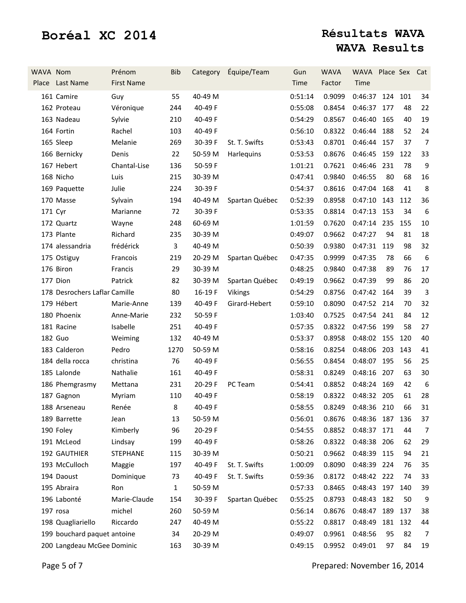| WAVA Nom | Place Last Name               | Prénom<br><b>First Name</b> | <b>Bib</b>   | Category | Équipe/Team    | Gun<br>Time | <b>WAVA</b><br>Factor         | WAVA Place Sex Cat<br>Time |     |     |                  |
|----------|-------------------------------|-----------------------------|--------------|----------|----------------|-------------|-------------------------------|----------------------------|-----|-----|------------------|
|          | 161 Camire                    | Guy                         | 55           | 40-49 M  |                | 0:51:14     | 0.9099                        | 0:46:37 124                |     | 101 | 34               |
|          | 162 Proteau                   | Véronique                   | 244          | 40-49 F  |                | 0:55:08     | 0.8454                        | 0:46:37 177                |     | 48  | 22               |
|          | 163 Nadeau                    | Sylvie                      | 210          | 40-49 F  |                | 0:54:29     | 0.8567                        | 0:46:40                    | 165 | 40  | 19               |
|          | 164 Fortin                    | Rachel                      | 103          | 40-49 F  |                | 0:56:10     | 0.8322                        | 0:46:44                    | 188 | 52  | 24               |
|          | 165 Sleep                     | Melanie                     | 269          | 30-39 F  | St. T. Swifts  | 0:53:43     | 0.8701                        | 0:46:44 157                |     | 37  | $\overline{7}$   |
|          | 166 Bernicky                  | Denis                       | 22           | 50-59 M  | Harlequins     | 0:53:53     | 0.8676                        | 0:46:45 159                |     | 122 | 33               |
|          | 167 Hebert                    | Chantal-Lise                | 136          | 50-59 F  |                | 1:01:21     | 0.7621                        | 0:46:46 231                |     | 78  | $9\,$            |
|          | 168 Nicho                     | Luis                        | 215          | 30-39 M  |                | 0:47:41     | 0.9840                        | 0:46:55                    | 80  | 68  | 16               |
|          | 169 Paquette                  | Julie                       | 224          | 30-39 F  |                | 0:54:37     | 0.8616                        | 0:47:04                    | 168 | 41  | 8                |
|          | 170 Masse                     | Sylvain                     | 194          | 40-49 M  | Spartan Québec | 0:52:39     | 0.8958                        | 0:47:10 143                |     | 112 | 36               |
| 171 Cyr  |                               | Marianne                    | 72           | 30-39 F  |                | 0:53:35     | 0.8814                        | 0:47:13 153                |     | 34  | $\boldsymbol{6}$ |
|          | 172 Quartz                    | Wayne                       | 248          | 60-69 M  |                | 1:01:59     | 0.7620                        | 0:47:14 235                |     | 155 | 10               |
|          | 173 Plante                    | Richard                     | 235          | 30-39 M  |                | 0:49:07     | 0.9662                        | 0:47:27                    | 94  | 81  | 18               |
|          | 174 alessandria               | frédérick                   | 3            | 40-49 M  |                | 0:50:39     | 0.9380                        | 0:47:31                    | 119 | 98  | 32               |
|          | 175 Ostiguy                   | Francois                    | 219          | 20-29 M  | Spartan Québec | 0:47:35     | 0.9999                        | 0:47:35                    | 78  | 66  | $\boldsymbol{6}$ |
|          | 176 Biron                     | Francis                     | 29           | 30-39 M  |                | 0:48:25     | 0.9840                        | 0:47:38                    | 89  | 76  | 17               |
|          | 177 Dion                      | Patrick                     | 82           | 30-39 M  | Spartan Québec | 0:49:19     | 0.9662                        | 0:47:39                    | 99  | 86  | 20               |
|          | 178 Desrochers Laflar Camille |                             | 80           | 16-19F   | <b>Vikings</b> | 0:54:29     | 0.8756                        | 0:47:42                    | 164 | 39  | 3                |
|          | 179 Hébert                    | Marie-Anne                  | 139          | 40-49 F  | Girard-Hebert  | 0:59:10     | 0.8090                        | 0:47:52 214                |     | 70  | 32               |
|          | 180 Phoenix                   | Anne-Marie                  | 232          | 50-59 F  |                | 1:03:40     | 0.7525                        | 0:47:54 241                |     | 84  | 12               |
|          | 181 Racine                    | Isabelle                    | 251          | 40-49 F  |                | 0:57:35     | 0.8322                        | 0:47:56 199                |     | 58  | 27               |
|          | <b>182 Guo</b>                | Weiming                     | 132          | 40-49 M  |                | 0:53:37     | 0.8958                        | 0:48:02 155                |     | 120 | 40               |
|          | 183 Calderon                  | Pedro                       | 1270         | 50-59 M  |                | 0:58:16     | 0.8254                        | 0:48:06 203                |     | 143 | 41               |
|          | 184 della rocca               | christina                   | 76           | 40-49 F  |                | 0:56:55     | 0.8454                        | 0:48:07                    | 195 | 56  | 25               |
|          | 185 Lalonde                   | Nathalie                    | 161          | 40-49 F  |                | 0:58:31     | 0.8249                        | 0:48:16 207                |     | 63  | 30               |
|          | 186 Phemgrasmy                | Mettana                     | 231          | 20-29 F  | PC Team        | 0:54:41     | 0.8852                        | 0:48:24                    | 169 | 42  | $\boldsymbol{6}$ |
|          | 187 Gagnon                    | Myriam                      | 110          | 40-49 F  |                | 0:58:19     | 0.8322                        | 0:48:32 205                |     | 61  | 28               |
|          | 188 Arseneau                  | Renée                       | 8            | 40-49 F  |                |             | 0:58:55  0.8249  0:48:36  210 |                            |     | 66  | 31               |
|          | 189 Barrette                  | Jean                        | 13           | 50-59 M  |                | 0:56:01     | 0.8676                        | 0:48:36 187                |     | 136 | 37               |
|          | 190 Foley                     | Kimberly                    | 96           | 20-29 F  |                | 0:54:55     | 0.8852                        | 0:48:37 171                |     | 44  | 7                |
|          | 191 McLeod                    | Lindsay                     | 199          | 40-49 F  |                | 0:58:26     | 0.8322                        | 0:48:38 206                |     | 62  | 29               |
|          | 192 GAUTHIER                  | <b>STEPHANE</b>             | 115          | 30-39 M  |                | 0:50:21     | 0.9662                        | 0:48:39 115                |     | 94  | 21               |
|          | 193 McCulloch                 | Maggie                      | 197          | 40-49 F  | St. T. Swifts  | 1:00:09     | 0.8090                        | 0:48:39 224                |     | 76  | 35               |
|          | 194 Daoust                    | Dominique                   | 73           | 40-49 F  | St. T. Swifts  | 0:59:36     | 0.8172                        | 0:48:42 222                |     | 74  | 33               |
|          | 195 Abraira                   | Ron                         | $\mathbf{1}$ | 50-59 M  |                | 0:57:33     | 0.8465                        | 0:48:43 197                |     | 140 | 39               |
|          | 196 Labonté                   | Marie-Claude                | 154          | 30-39 F  | Spartan Québec | 0:55:25     | 0.8793                        | 0:48:43 182                |     | 50  | 9                |
|          | 197 rosa                      | michel                      | 260          | 50-59 M  |                | 0:56:14     | 0.8676                        | 0:48:47                    | 189 | 137 | 38               |
|          | 198 Quagliariello             | Riccardo                    | 247          | 40-49 M  |                | 0:55:22     | 0.8817                        | 0:48:49                    | 181 | 132 | 44               |
|          | 199 bouchard paquet antoine   |                             | 34           | 20-29 M  |                | 0:49:07     | 0.9961                        | 0:48:56                    | 95  | 82  | 7                |
|          | 200 Langdeau McGee Dominic    |                             | 163          | 30-39 M  |                | 0:49:15     | 0.9952                        | 0:49:01                    | 97  | 84  | 19               |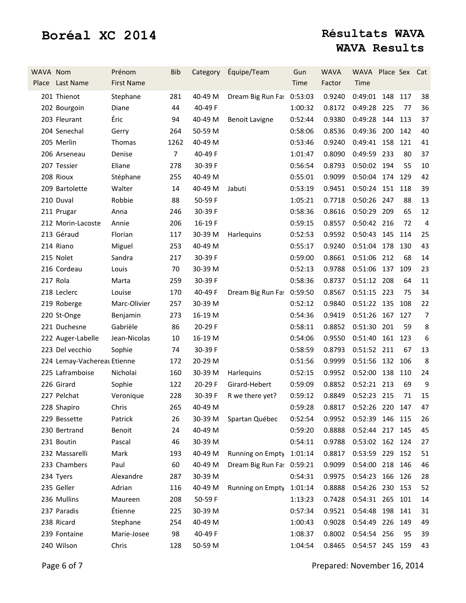| WAVA Nom | Place Last Name             | Prénom<br><b>First Name</b> | <b>Bib</b>     | Category | Équipe/Team               | Gun<br>Time | <b>WAVA</b><br>Factor  | WAVA Place Sex<br>Time |         |     | Cat            |
|----------|-----------------------------|-----------------------------|----------------|----------|---------------------------|-------------|------------------------|------------------------|---------|-----|----------------|
|          | 201 Thienot                 | Stephane                    | 281            | 40-49 M  | Dream Big Run Fa:         | 0:53:03     | 0.9240                 | 0:49:01                | 148 117 |     | 38             |
|          | 202 Bourgoin                | Diane                       | 44             | 40-49 F  |                           | 1:00:32     | 0.8172                 | 0:49:28 225            |         | 77  | 36             |
|          | 203 Fleurant                | Éric                        | 94             | 40-49 M  | <b>Benoit Lavigne</b>     | 0:52:44     | 0.9380                 | 0:49:28                | 144     | 113 | 37             |
|          | 204 Senechal                | Gerry                       | 264            | 50-59 M  |                           | 0:58:06     | 0.8536                 | 0:49:36 200 142        |         |     | 40             |
|          | 205 Merlin                  | Thomas                      | 1262           | 40-49 M  |                           | 0:53:46     | 0.9240                 | 0:49:41 158 121        |         |     | 41             |
|          | 206 Arseneau                | Denise                      | $\overline{7}$ | 40-49 F  |                           | 1:01:47     | 0.8090                 | 0:49:59 233            |         | 80  | 37             |
|          | 207 Tessier                 | Eliane                      | 278            | 30-39 F  |                           | 0:56:54     | 0.8793                 | 0:50:02 194            |         | 55  | 10             |
|          | 208 Rioux                   | Stéphane                    | 255            | 40-49 M  |                           | 0:55:01     | 0.9099                 | 0:50:04 174 129        |         |     | 42             |
|          | 209 Bartolette              | Walter                      | 14             | 40-49 M  | Jabuti                    | 0:53:19     | 0.9451                 | 0:50:24 151 118        |         |     | 39             |
|          | 210 Duval                   | Robbie                      | 88             | 50-59 F  |                           | 1:05:21     | 0.7718                 | 0:50:26 247            |         | 88  | 13             |
|          | 211 Prugar                  | Anna                        | 246            | 30-39 F  |                           | 0:58:36     | 0.8616                 | 0:50:29                | 209     | 65  | 12             |
|          | 212 Morin-Lacoste           | Annie                       | 206            | 16-19F   |                           | 0:59:15     | 0.8557                 | 0:50:42 216            |         | 72  | 4              |
|          | 213 Géraud                  | Florian                     | 117            | 30-39 M  | Harlequins                | 0:52:53     | 0.9592                 | 0:50:43 145            |         | 114 | 25             |
|          | 214 Riano                   | Miguel                      | 253            | 40-49 M  |                           | 0:55:17     | 0.9240                 | 0:51:04 178 130        |         |     | 43             |
|          | 215 Nolet                   | Sandra                      | 217            | 30-39 F  |                           | 0:59:00     | 0.8661                 | 0:51:06                | 212     | 68  | 14             |
|          | 216 Cordeau                 | Louis                       | 70             | 30-39 M  |                           | 0:52:13     | 0.9788                 | 0:51:06 137            |         | 109 | 23             |
|          | 217 Rola                    | Marta                       | 259            | 30-39 F  |                           | 0:58:36     | 0.8737                 | 0:51:12 208            |         | 64  | 11             |
|          | 218 Leclerc                 | Louise                      | 170            | 40-49 F  | Dream Big Run Fa: 0:59:50 |             | 0.8567                 | 0:51:15 223            |         | 75  | 34             |
|          | 219 Roberge                 | Marc-Olivier                | 257            | 30-39 M  |                           | 0:52:12     | 0.9840                 | 0:51:22                | 135     | 108 | 22             |
|          | 220 St-Onge                 | Benjamin                    | 273            | 16-19 M  |                           | 0:54:36     | 0.9419                 | 0:51:26                | 167     | 127 | $\overline{7}$ |
|          | 221 Duchesne                | Gabrièle                    | 86             | 20-29 F  |                           | 0:58:11     | 0.8852                 | 0:51:30 201            |         | 59  | 8              |
|          | 222 Auger-Labelle           | Jean-Nicolas                | 10             | 16-19 M  |                           | 0:54:06     | 0.9550                 | 0:51:40                | 161     | 123 | 6              |
|          | 223 Del vecchio             | Sophie                      | 74             | 30-39 F  |                           | 0:58:59     | 0.8793                 | 0:51:52 211            |         | 67  | 13             |
|          | 224 Lemay-Vachereal Etienne |                             | 172            | 20-29 M  |                           | 0:51:56     | 0.9999                 | 0:51:56 132 106        |         |     | 8              |
|          | 225 Laframboise             | Nicholai                    | 160            | 30-39 M  | Harlequins                | 0:52:15     | 0.9952                 | 0:52:00 138 110        |         |     | 24             |
|          | 226 Girard                  | Sophie                      | 122            | 20-29 F  | Girard-Hebert             | 0:59:09     | 0.8852                 | 0:52:21 213            |         | 69  | 9              |
|          | 227 Pelchat                 | Veronique                   | 228            | 30-39 F  | R we there yet?           | 0:59:12     | 0.8849                 | 0:52:23 215            |         | 71  | 15             |
|          | 228 Shapiro                 | Chris                       | 265            | 40-49 M  |                           | 0:59:28     | 0.8817 0:52:26 220 147 |                        |         |     | 47             |
|          | 229 Bessette                | Patrick                     | 26             | 30-39 M  | Spartan Québec            | 0:52:54     | 0.9952                 | 0:52:39 146 115        |         |     | 26             |
|          | 230 Bertrand                | Benoit                      | 24             | 40-49 M  |                           | 0:59:20     | 0.8888                 | 0:52:44 217 145        |         |     | 45             |
|          | 231 Boutin                  | Pascal                      | 46             | 30-39 M  |                           | 0:54:11     | 0.9788                 | 0:53:02 162 124        |         |     | 27             |
|          | 232 Massarelli              | Mark                        | 193            | 40-49 M  | Running on Empty          | 1:01:14     | 0.8817                 | 0:53:59 229 152        |         |     | 51             |
|          | 233 Chambers                | Paul                        | 60             | 40-49 M  | Dream Big Run Fa: 0:59:21 |             | 0.9099                 | 0:54:00 218 146        |         |     | 46             |
|          | 234 Tyers                   | Alexandre                   | 287            | 30-39 M  |                           | 0:54:31     | 0.9975                 | 0:54:23 166 126        |         |     | 28             |
|          | 235 Geller                  | Adrian                      | 116            | 40-49 M  | Running on Empty          | 1:01:14     | 0.8888                 | 0:54:26 230 153        |         |     | 52             |
|          | 236 Mullins                 | Maureen                     | 208            | 50-59 F  |                           | 1:13:23     | 0.7428                 | 0:54:31 265 101        |         |     | 14             |
|          | 237 Paradis                 | Étienne                     | 225            | 30-39 M  |                           | 0:57:34     | 0.9521                 | 0:54:48 198 141        |         |     | 31             |
|          | 238 Ricard                  | Stephane                    | 254            | 40-49 M  |                           | 1:00:43     | 0.9028                 | 0:54:49 226 149        |         |     | 49             |
|          | 239 Fontaine                | Marie-Josee                 | 98             | 40-49 F  |                           | 1:08:37     | 0.8002                 | 0:54:54 256            |         | 95  | 39             |
|          | 240 Wilson                  | Chris                       | 128            | 50-59 M  |                           | 1:04:54     | 0.8465                 | 0:54:57 245 159        |         |     | 43             |